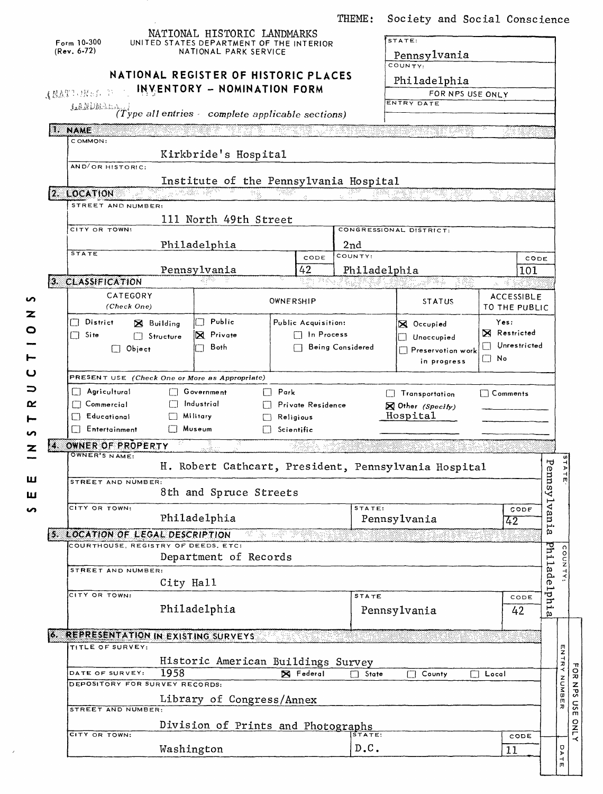THEME: Society and Social Conscience

|    | Form $10-300$<br>$(Rev. 6-72)$                    |                               | NATIONAL HISTORIC LANDMARKS<br>UNITED STATES DEPARTMENT OF THE INTERIOR<br>NATIONAL PARK SERVICE |            |                         |                         | STATE:<br>Pennsylvania<br>COUNTY.                    |                     |                                                      |
|----|---------------------------------------------------|-------------------------------|--------------------------------------------------------------------------------------------------|------------|-------------------------|-------------------------|------------------------------------------------------|---------------------|------------------------------------------------------|
|    |                                                   |                               | NATIONAL REGISTER OF HISTORIC PLACES                                                             |            |                         |                         | Philadelphia                                         |                     |                                                      |
|    | (MATI Mai D                                       |                               | INVENTORY - NOMINATION FORM                                                                      |            |                         |                         | FOR NPS USE ONLY                                     |                     |                                                      |
|    | LANDMARK.                                         |                               |                                                                                                  |            |                         |                         | ENTRY DATE                                           |                     |                                                      |
|    | $(Type$ all entries complete applicable sections) |                               |                                                                                                  |            |                         |                         |                                                      |                     |                                                      |
|    | <b>NAME</b><br>COMMON:                            |                               |                                                                                                  |            |                         |                         | tore Cigat Web Yr                                    | 73 X                |                                                      |
|    |                                                   |                               | Kirkbride's Hospital                                                                             |            |                         |                         |                                                      |                     |                                                      |
|    | AND/OR HISTORIC:                                  |                               |                                                                                                  |            |                         |                         |                                                      |                     |                                                      |
|    |                                                   |                               | Institute of the Pennsylvania Hospital                                                           |            |                         |                         |                                                      |                     |                                                      |
|    | 2. LOCATION                                       | <b>地磁站 梁</b>                  | 천용                                                                                               | 7980-      |                         | بولون                   |                                                      | 137 LAYAA           |                                                      |
|    | STREET AND NUMBER:                                |                               |                                                                                                  |            |                         |                         |                                                      |                     |                                                      |
|    | CITY OR TOWN:                                     |                               | 111 North 49th Street                                                                            |            |                         |                         | CONGRESSIONAL DISTRICT:                              |                     |                                                      |
|    |                                                   |                               |                                                                                                  |            |                         |                         |                                                      |                     |                                                      |
|    | <b>STATE</b>                                      |                               | Philadelphia                                                                                     |            | CODE                    | 2nd<br>COUNTY:          |                                                      | CODE                |                                                      |
|    |                                                   |                               | Pennsylvania                                                                                     |            | 42                      |                         | Philadelphia                                         | 101                 |                                                      |
|    | 3. CLASSIFICATION                                 |                               |                                                                                                  |            |                         |                         | مي په دونو په<br>182                                 | 以 接受器               |                                                      |
|    | CATEGORY                                          |                               |                                                                                                  | OWNERSHIP  |                         |                         | <b>STATUS</b>                                        | <b>ACCESSIBLE</b>   |                                                      |
|    | (Check One)                                       |                               |                                                                                                  |            |                         |                         |                                                      | TO THE PUBLIC       |                                                      |
|    | District<br><b>X</b> Building                     |                               | Public                                                                                           |            | Public Acquisition:     |                         | <b>X</b> Occupied                                    | Yes:                |                                                      |
|    | Site<br>Structure                                 |                               | X Private                                                                                        |            | □ In Process            |                         | Unoccupied                                           | <b>X</b> Restricted |                                                      |
|    | $\Box$ Object                                     |                               | Both                                                                                             |            |                         | <b>Being Considered</b> | Preservotion work                                    | Unrestricted        |                                                      |
|    | ∟]No<br>in progress                               |                               |                                                                                                  |            |                         |                         |                                                      |                     |                                                      |
|    | PRESENT USE (Check One or More as Appropriate)    |                               |                                                                                                  |            |                         |                         |                                                      |                     |                                                      |
|    | Agricultural                                      |                               | Government                                                                                       | Park<br>П  |                         |                         | Transportation                                       | $\Box$ Comments     |                                                      |
|    | $\Box$ Commercial                                 |                               | Industrial                                                                                       |            | Private Residence       |                         | Other (Specify)                                      |                     |                                                      |
|    | Educational<br>Entertainment<br>$\Box$            | Military<br>├ <b>┐ Museum</b> |                                                                                                  |            | Religious<br>Scientific |                         | Hospital                                             |                     |                                                      |
|    |                                                   |                               |                                                                                                  |            |                         |                         |                                                      |                     |                                                      |
| Z. | OWNER OF PROPERTY<br>OWNER'S NAME:                |                               |                                                                                                  |            | 7829                    |                         |                                                      |                     |                                                      |
|    |                                                   |                               |                                                                                                  |            |                         |                         | H. Robert Cathcart, President, Pennsylvania Hospital |                     |                                                      |
|    | STREET AND NUMBER:                                |                               |                                                                                                  |            |                         |                         |                                                      |                     | Penns                                                |
|    |                                                   |                               | 8th and Spruce Streets                                                                           |            |                         |                         |                                                      |                     | ≺                                                    |
|    | CITY OR TOWN:                                     |                               | Philadelphia                                                                                     |            |                         | STATE:                  |                                                      | CODE                | ⊲                                                    |
|    |                                                   |                               |                                                                                                  |            |                         |                         | Pennsylvania                                         | 42                  | ani.                                                 |
|    |                                                   |                               |                                                                                                  |            |                         |                         |                                                      |                     |                                                      |
|    | 5. LOCATION OF LEGAL DESCRIPTION                  |                               |                                                                                                  | je 1859 (f |                         |                         |                                                      |                     | ω                                                    |
|    | COURTHOUSE, REGISTRY OF DEEDS, ETC:               |                               | Department of Records                                                                            |            |                         |                         |                                                      |                     |                                                      |
|    | STREET AND NUMBER:                                |                               |                                                                                                  |            |                         |                         |                                                      |                     |                                                      |
|    |                                                   | City Hall                     |                                                                                                  |            |                         |                         |                                                      |                     |                                                      |
|    | CITY OR TOWN:                                     |                               |                                                                                                  |            |                         | <b>STATE</b>            |                                                      | CODE                | Philadelph                                           |
|    |                                                   |                               | Philadelphia                                                                                     |            |                         |                         | Pennsylvania                                         | 42                  | ∙ا⊨<br>ρ                                             |
|    |                                                   |                               |                                                                                                  |            |                         |                         |                                                      |                     |                                                      |
|    | 6. REPRESENTATION IN EXISTING SURVEYS             |                               |                                                                                                  |            |                         |                         |                                                      |                     |                                                      |
|    | TITLE OF SURVEY:                                  |                               |                                                                                                  |            |                         |                         |                                                      |                     |                                                      |
|    |                                                   |                               | Historic American Buildings Survey                                                               |            |                         |                         |                                                      |                     |                                                      |
|    | DATE OF SURVEY:<br>DEPOSITORY FOR SURVEY RECORDS: | 1958                          |                                                                                                  |            | R Federal               | $\Box$ State            | County                                               | Local<br>$\Box$     |                                                      |
|    |                                                   |                               | Library of Congress/Annex                                                                        |            |                         |                         |                                                      |                     |                                                      |
|    | STREET AND NUMBER:                                |                               |                                                                                                  |            |                         |                         |                                                      |                     |                                                      |
|    |                                                   |                               | Division of Prints and Photographs                                                               |            |                         |                         |                                                      |                     |                                                      |
|    | CITY OR TOWN:                                     | Washington                    |                                                                                                  |            |                         | STATE:<br>D.C.          |                                                      | CODE<br>11          | m<br>Z<br>$\frac{1}{\mathbf{R}}$<br>MUMBE<br>IJ<br>o |

 $\ddot{\phantom{a}}$ 

 $\hat{\boldsymbol{\epsilon}}$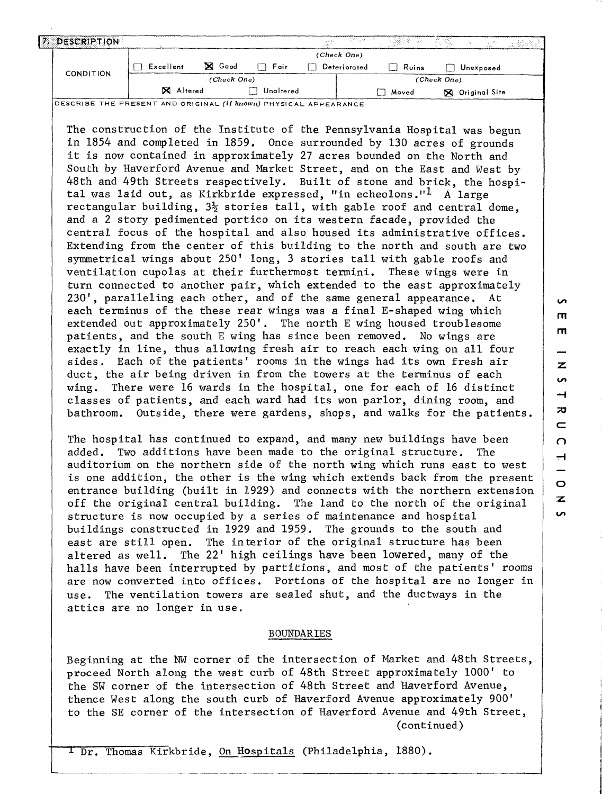| 17. | DESCRIPTION |           |               |           | AM STAR      |       | $\mathcal{L}^{\text{loc}}_{\text{loc}}$ |  |
|-----|-------------|-----------|---------------|-----------|--------------|-------|-----------------------------------------|--|
|     |             |           |               |           | (Check One)  |       |                                         |  |
|     |             | Excellent | <b>X</b> Good | Fair      | Deteriorated | Ruins | Unexposed                               |  |
|     | CONDITION   |           | (Check One)   |           |              |       | (Check One)                             |  |
|     |             | X Altered |               | Unaltered |              | Moved | <b>X</b> Original Site                  |  |

DESCRIBE THE PRESENT AND ORIGINAL (if **known)** PHYSICAL APPEARANCE

The construction of the Institute of the Pennsylvania Hospital was begun in 1854 and completed in 1859. Once surrounded by 130 acres of grounds it is now contained in approximately 27 acres bounded on the North and South by Haverford Avenue and Market Street, and on the East and West by 48th and 49th Streets respectively. Built of stone and brick, the hospital was laid out, as Kirkbride expressed, "in echeolons."<sup>1</sup> A large rectangular building,  $3\frac{1}{2}$  stories tall, with gable roof and central dome, and a 2 story pedimented portico on its western facade, provided the central focus of the hospital and also housed its administrative offices. Extending from the center of this building to the north and south are two symmetrical wings about 250' long, 3 stories tall with gable roofs and ventilation cupolas at their furthermost termini. These wings were in turn connected to another pair, which extended to the east approximately 230', paralleling each other, and of the same general appearance. At each terminus of the these rear wings was a final E-shaped wing which extended out approximately 250'. The north E wing housed troublesome patients, and the south E wing has since been removed. No wings are exactly in line, thus allowing fresh air to reach each wing on all four sides. Each of the patients' rooms in the wings had its own fresh air duct, the air being driven in from the towers at the terminus of each wing. There were 16 wards in the hospital, one for each of 16 distinct classes of patients, and each ward had its won parlor, dining room, and bathroom. Outside, there were gardens, shops, and walks for the patients.

The hospital has continued to expand, and many new buildings have been added. Two additions have been made to the original structure. The auditorium on the northern side of the north wing which runs east to west is one addition, the other is the wing which extends back from the present entrance building (built in 1929) and connects with the northern extension off the original central building. The land to the north of the original structure is now occupied by a series of maintenance and hospital buildings constructed in 1929 and 1959. The grounds to the south and east are still open. The interior of the original structure has been altered as well. The 22' high ceilings have been lowered, many of the halls have been interrupted by partitions, and most of the patients' rooms are now converted into offices. Portions of the hospital are no longer in use. The ventilation towers are sealed shut, and the ductways in the attics are no longer in use.

## BOUNDARIES

Beginning at the NW corner of the intersection of Market and 48th Streets, proceed North along the west curb of 48th Street approximately 1000' to the SW corner of the intersection of 48th Street and Haverford Avenue, thence West along the south curb of Haverford Avenue approximately 900' to the SE corner of the intersection of Haverford Avenue and 49th Street, (continued)

I Dr. Thomas Kirkbride, On Hospitals (Philadelphia, 1880).

 $\mathbf{\pi}$  $\blacksquare$ z **i**  $\rightarrow$  $\overline{\bm{x}}$  $\equiv$  $\Omega$  $\overline{+}$  $\circ$  $\overline{\mathbf{z}}$ S

 $\mathbf{v}$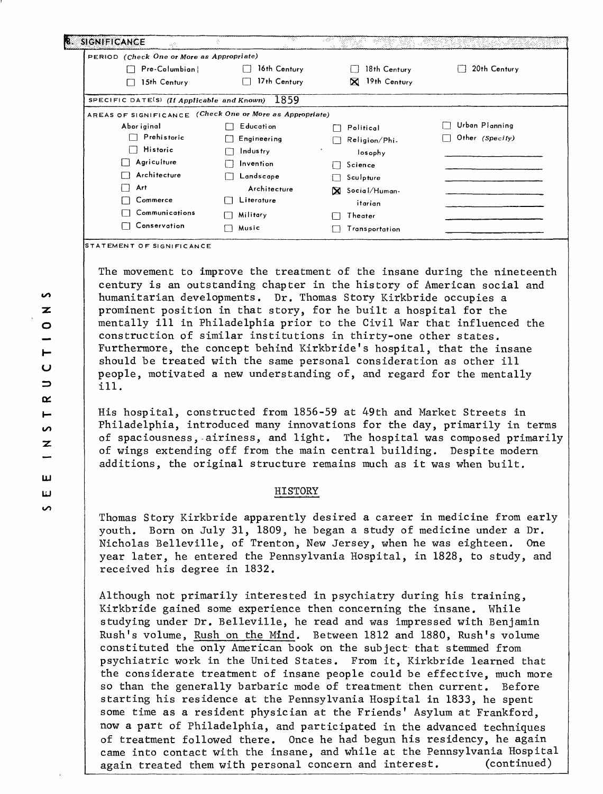| PERIOD (Check One or More as Appropriate)                |              |                           |                 |
|----------------------------------------------------------|--------------|---------------------------|-----------------|
| Pre-Columbian!                                           | 16th Century | 18th Century              | 20th Century    |
| 15th Century                                             | 17th Century | 19th Century<br>$\bowtie$ |                 |
| SPECIFIC DATE(S) (If Applicable and Known)               | 1859         |                           |                 |
| AREAS OF SIGNIFICANCE (Check One or More as Appropriate) |              |                           |                 |
| Abor iginal                                              | Education    | Political                 | Urban Planning  |
| Prehistoric                                              | Engineering  | Religion/Phi-             | Other (Specify) |
| Historic                                                 | Industry     | losophy                   |                 |
| Agriculture                                              | Invention    | Science                   |                 |
| Architecture                                             | Landscape    | Sculpture                 |                 |
| Art                                                      | Architecture | X Social/Human-           |                 |
| Commerce                                                 | Literature   | itarian                   |                 |
| Communications                                           | Military     | Theater                   |                 |
| Conservation                                             | Music        | Transportation            |                 |

**TATEMENT OF SIGNIFICANCE**

The movement to improve the treatment of the insane during the nineteenth century is an outstanding chapter in the history of American social and humanitarian developments. Dr. Thomas Story Kirkbride occupies a prominent position in that story, for he built a hospital for the mentally ill in Philadelphia prior to the Civil War that influenced the construction of similar institutions in thirty-one other states. Furthermore, the concept behind Kirkbride's hospital, that the insane should be treated with the same personal consideration as other ill people, motivated a new understanding of, and regard for the mentally ill.

His hospital, constructed from 1856-59 at 49th and Market Streets in Philadelphia, introduced many innovations for the day, primarily in terms of spaciousness, airiness, and light. The hospital was composed primarily of wings extending off from the main central building. Despite modern additions, the original structure remains much as it was when built.

## HISTORY

Thomas Story Kirkbride apparently desired a career in medicine from early youth. Born on July 31, 1809, he began a study of medicine under a Dr. Nicholas Belleville, of Trenton, New Jersey, when he was eighteen. One year later, he entered the Pennsylvania Hospital, in 1828, to study, and received his degree in 1832.

Although not primarily interested in psychiatry during his training, Kirkbride gained some experience then concerning the insane. While studying under Dr. Belleville, he read and was impressed with Benjamin Rush's volume, Rush on the Mind. Between 1812 and 1880, Rush's volume constituted the only American book on the subject that stemmed from psychiatric work in the United States. From it, Kirkbride learned that the considerate treatment of insane people could be effective, much more so than the generally barbaric mode of treatment then current. Before starting his residence at the Pennsylvania Hospital in 1833, he spent some time as a resident physician at the Friends' Asylum at Frankford, now a part of Philadelphia, and participated in the advanced techniques of treatment followed there. Once he had begun his residency, he again came into contact with the insane, and while at the Pennsylvania Hospital again treated them with personal concern and interest. (continued)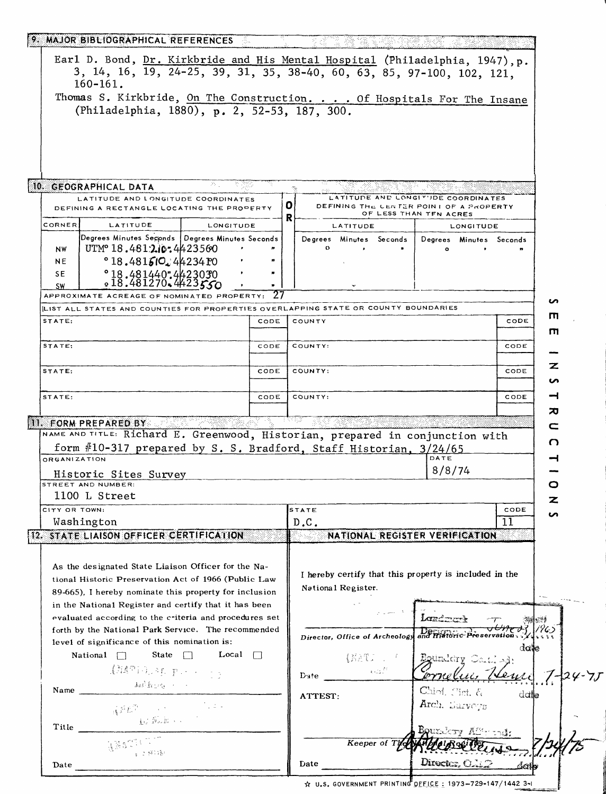|                                      | 9. MAJOR BIBLIOGRAPHICAL REFERENCES                                                                                                                                                                                                                                                                                                  |              |      |                                                                                    |                                                                   |        |
|--------------------------------------|--------------------------------------------------------------------------------------------------------------------------------------------------------------------------------------------------------------------------------------------------------------------------------------------------------------------------------------|--------------|------|------------------------------------------------------------------------------------|-------------------------------------------------------------------|--------|
|                                      |                                                                                                                                                                                                                                                                                                                                      |              |      | Earl D. Bond, Dr. Kirkbride and His Mental Hospital (Philadelphia, 1947), p.       |                                                                   |        |
|                                      | $160 - 161$ .                                                                                                                                                                                                                                                                                                                        |              |      | 3, 14, 16, 19, 24-25, 39, 31, 35, 38-40, 60, 63, 85, 97-100, 102, 121,             |                                                                   |        |
|                                      |                                                                                                                                                                                                                                                                                                                                      |              |      | Thomas S. Kirkbride, On The Construction. Of Hospitals For The Insane              |                                                                   |        |
|                                      | (Philadelphia, 1880), p. 2, 52-53, 187, 300.                                                                                                                                                                                                                                                                                         |              |      |                                                                                    |                                                                   |        |
|                                      |                                                                                                                                                                                                                                                                                                                                      |              |      |                                                                                    |                                                                   |        |
|                                      |                                                                                                                                                                                                                                                                                                                                      |              |      |                                                                                    |                                                                   |        |
|                                      |                                                                                                                                                                                                                                                                                                                                      |              |      |                                                                                    |                                                                   |        |
|                                      |                                                                                                                                                                                                                                                                                                                                      |              |      |                                                                                    |                                                                   |        |
|                                      | 10. GEOGRAPHICAL DATA                                                                                                                                                                                                                                                                                                                | 25.          |      |                                                                                    |                                                                   |        |
|                                      | LATITUDE AND LONGITUDE COORDINATES                                                                                                                                                                                                                                                                                                   |              |      |                                                                                    | LATITUDE AND LONGITUDE COORDINATES                                |        |
|                                      | DEFINING A RECTANGLE LOCATING THE PROPERTY                                                                                                                                                                                                                                                                                           |              |      | O<br>R                                                                             | DEFINING THE CENTER POINT OF A PROPERTY<br>OF LESS THAN TFN ACRES |        |
| CORNER                               | LATITUDE                                                                                                                                                                                                                                                                                                                             | LONGITUDE    |      | LATITUDE                                                                           | LONGITUDE                                                         |        |
| <b>NW</b>                            | Degrees Minutes Seconds   Degrees Minutes Seconds<br>UTMº 18.4812.10:4423560                                                                                                                                                                                                                                                         |              |      | Degrees Minutes Seconds                                                            | Degrees Minutes Seconds                                           |        |
| NE                                   | $^{\circ}$ 18.481510. 44234 PO                                                                                                                                                                                                                                                                                                       |              |      |                                                                                    |                                                                   |        |
| SE.                                  | $^{0}$ 18.481440.4423030<br>$^{0}$ 18.481270.4423550                                                                                                                                                                                                                                                                                 |              |      |                                                                                    |                                                                   |        |
| <b>SW</b>                            | APPROXIMATE ACREAGE OF NOMINATED PROPERTY:                                                                                                                                                                                                                                                                                           |              |      |                                                                                    |                                                                   |        |
|                                      |                                                                                                                                                                                                                                                                                                                                      |              |      | LIST ALL STATES AND COUNTIES FOR PROPERTIES OVERLAPPING STATE OR COUNTY BOUNDARIES |                                                                   | n      |
| STATE:                               |                                                                                                                                                                                                                                                                                                                                      |              | CODE | COUNTY                                                                             | CODE                                                              | п      |
|                                      |                                                                                                                                                                                                                                                                                                                                      |              |      |                                                                                    |                                                                   | m      |
| STATE:                               |                                                                                                                                                                                                                                                                                                                                      |              | CODE | COUNTY:                                                                            | CODE                                                              |        |
| STATE:                               |                                                                                                                                                                                                                                                                                                                                      |              | CODE | COUNTY:                                                                            | CODE                                                              | z<br>ທ |
| STATE:                               |                                                                                                                                                                                                                                                                                                                                      |              | CODE | COUNTY:                                                                            | CODE                                                              | ⊣      |
|                                      |                                                                                                                                                                                                                                                                                                                                      |              |      |                                                                                    |                                                                   |        |
|                                      |                                                                                                                                                                                                                                                                                                                                      |              |      |                                                                                    |                                                                   |        |
|                                      |                                                                                                                                                                                                                                                                                                                                      |              |      |                                                                                    |                                                                   | ᇧ      |
|                                      | <b>II. FORM PREPARED BY</b>                                                                                                                                                                                                                                                                                                          |              |      |                                                                                    |                                                                   | c      |
|                                      |                                                                                                                                                                                                                                                                                                                                      |              |      | NAME AND TITLE: Richard E. Greenwood, Historian, prepared in conjunction with      |                                                                   | n      |
|                                      |                                                                                                                                                                                                                                                                                                                                      |              |      | form #10-317 prepared by S. S. Bradford, Staff Historian, 3/24/65                  | DATE                                                              |        |
|                                      | Historic Sites Survey                                                                                                                                                                                                                                                                                                                |              |      |                                                                                    | 8/8/74                                                            |        |
|                                      | STREET AND NUMBER:                                                                                                                                                                                                                                                                                                                   |              |      |                                                                                    |                                                                   | O      |
|                                      | 1100 L Street                                                                                                                                                                                                                                                                                                                        |              |      |                                                                                    |                                                                   |        |
|                                      |                                                                                                                                                                                                                                                                                                                                      |              |      | STATE                                                                              | CODE                                                              |        |
|                                      | Washington                                                                                                                                                                                                                                                                                                                           |              |      | D.C.                                                                               | 11                                                                |        |
|                                      | 12. STATE LIAISON OFFICER CERTIFICATION                                                                                                                                                                                                                                                                                              |              |      | NATIONAL REGISTER VERIFICATION                                                     |                                                                   |        |
|                                      |                                                                                                                                                                                                                                                                                                                                      |              |      |                                                                                    |                                                                   |        |
|                                      | As the designated State Liaison Officer for the Na-                                                                                                                                                                                                                                                                                  |              |      | I hereby certify that this property is included in the                             |                                                                   |        |
|                                      | tional Historic Preservation Act of 1966 (Public Law                                                                                                                                                                                                                                                                                 |              |      | National Register.                                                                 |                                                                   |        |
|                                      | 89-665). I hereby nominate this property for inclusion                                                                                                                                                                                                                                                                               |              |      |                                                                                    |                                                                   |        |
|                                      | in the National Register and certify that it has been                                                                                                                                                                                                                                                                                |              |      |                                                                                    |                                                                   |        |
|                                      | evaluated according to the criteria and procedures set<br>forth by the National Park Service. The recommended                                                                                                                                                                                                                        |              |      |                                                                                    | Londrock                                                          |        |
|                                      | level of significance of this nomination is:                                                                                                                                                                                                                                                                                         |              |      | Director, Office of Archeology                                                     | and Historic Preservation                                         |        |
|                                      | State $\Box$<br>National $\Box$                                                                                                                                                                                                                                                                                                      | Local $\Box$ |      |                                                                                    |                                                                   | dale   |
|                                      |                                                                                                                                                                                                                                                                                                                                      |              |      |                                                                                    | Equaldry Co. t. Al:                                               |        |
|                                      | $\left(\mathbb{M}^p\mathbb{H}\right),\{\mathbf{r},\mathbf{r},\cdots,\mathbf{r}\}$                                                                                                                                                                                                                                                    |              |      | $Date_$                                                                            |                                                                   |        |
| $Name \_$                            | 444.0                                                                                                                                                                                                                                                                                                                                |              |      | ATTEST:                                                                            | Chief, Cint. $\xi$                                                | dalle  |
| <b>ORGANIZATION</b><br>CITY OR TOWN: |                                                                                                                                                                                                                                                                                                                                      |              |      |                                                                                    | Arch. Sarveys                                                     |        |
|                                      | $\label{eq:2.1} \left(\sum_{i=1}^n\sum_{j=1}^{n-1}\sum_{k=1}^{n-1}\sum_{j=1}^{n-k}e^{i\pi\sum_{j=1}^{n-k}e^{i\pi\sum_{j=1}^{n-k}e^{i\pi\sum_{j=1}^{n-k}e^{i\pi\sum_{j=1}^{n-k}e^{i\pi\sum_{j=1}^{n-k}e^{i\pi\sum_{j=1}^{n-k}e^{i\pi\sum_{j=1}^{n-k}e^{i\pi\sum_{j=1}^{n-k}e^{i\pi\sum_{j=1}^{n-k}e^{i\pi\sum_{j=1}^{n-k}e^{i\pi\sum$ |              |      |                                                                                    |                                                                   |        |
| Title                                | <u>ang Salara</u>                                                                                                                                                                                                                                                                                                                    |              |      |                                                                                    |                                                                   |        |
|                                      |                                                                                                                                                                                                                                                                                                                                      |              |      | Keeper of The                                                                      |                                                                   |        |
| Date                                 | and the company                                                                                                                                                                                                                                                                                                                      |              |      | Date                                                                               | Director, O.                                                      | datb   |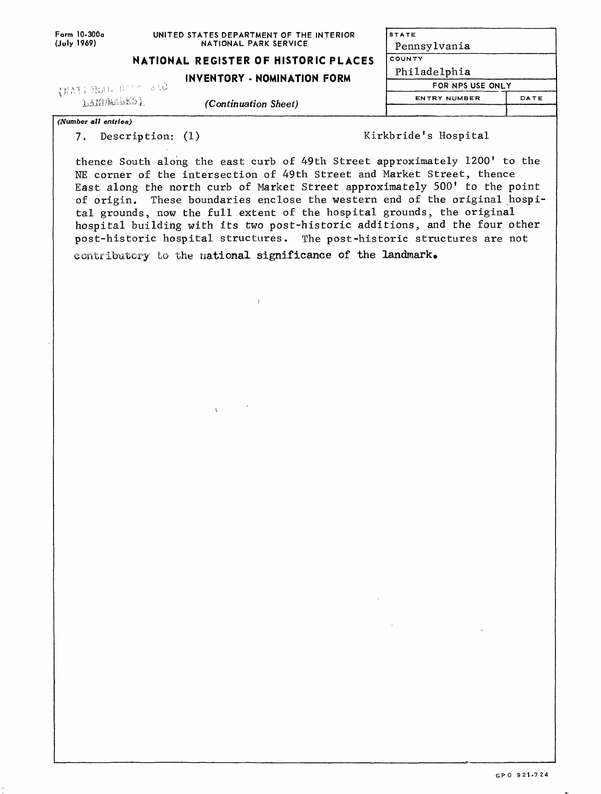| Form 10-300a         | UNITED STATES DEPARTMENT OF THE INTERIOR | <b>STATE</b>        |                  |
|----------------------|------------------------------------------|---------------------|------------------|
| (July 1969)          | NATIONAL PARK SERVICE                    | Pennsylvania        |                  |
|                      | NATIONAL REGISTER OF HISTORIC PLACES     | Ι COUNTY            |                  |
|                      | INVENTORY - NOMINATION FORM              | Philadelphia        |                  |
|                      | (FAILBAG Fine ald)                       |                     | FOR NPS USE ONLY |
| LANDMARKS)           | (Continuation Sheet)                     | <b>ENTRY NUMBER</b> | DATE             |
|                      |                                          |                     |                  |
| (Number all entries) |                                          |                     |                  |

7. Description: (1) Kirkbride's Hospital

thence South along the east curb of 49th Street approximately 1200' to the NE corner of the intersection of 49th Street and Market Street, thence East along the north curb of Market Street approximately 500' to the point of origin. These boundaries enclose the western end of the original hospital grounds, now the full extent of the hospital grounds, the original hospital building with its two post-historic additions, and the four other post-historic hospital structures. The post-historic structures are not contributory to the national significance of the landmark.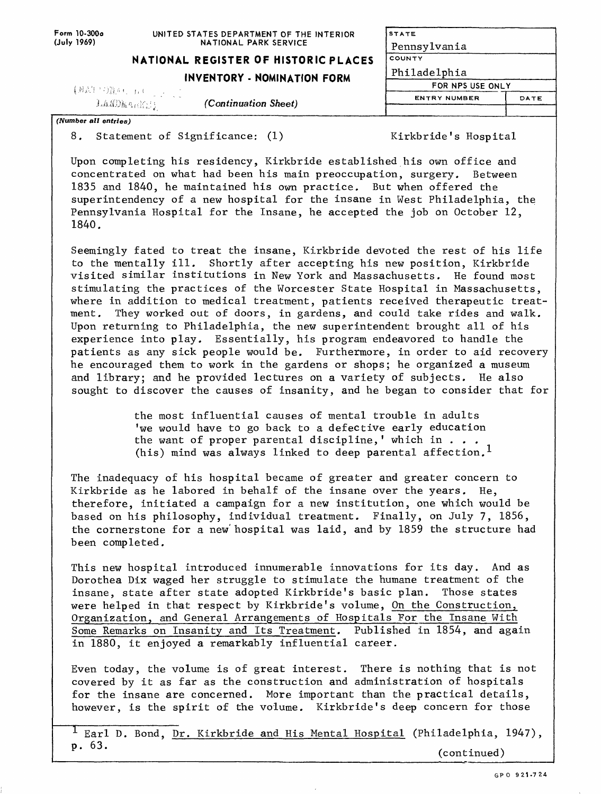| UNITED STATES DEPARTMENT OF THE INTERIOR |  |
|------------------------------------------|--|
| NATIONAL PARK SERVICE                    |  |

**STATE** Pennsylvania

|  | NATIONAL REGISTER OF HISTORIC PLACES | ΙςουΝτγ |
|--|--------------------------------------|---------|

| (刺説! 写真の 五戸                         | INVENTORY - NOMINATION FORM |                     | FOR NPS USE ONLY |
|-------------------------------------|-----------------------------|---------------------|------------------|
| (Continuation Sheet)<br>LANDERRESS. |                             | <b>ENTRY NUMBER</b> | DATE             |
| (Number all entries)                |                             |                     |                  |

8. Statement of Significance: (1)

Form 10-300o **(July 1969)**

Kirkbride's Hospital

Upon completing his residency, Kirkbride established his own office and concentrated on what had been his main preoccupation, surgery. Between 1835 and 1840, he maintained his own practice. But when offered the superintendency of a new hospital for the insane in West Philadelphia, the Pennsylvania Hospital for the Insane, he accepted the job on October 12, 1840.

Seemingly fated to treat the insane, Kirkbride devoted the rest of his life to the mentally ill. Shortly after accepting his new position, Kirkbride visited similar institutions in New York and Massachusetts. He found most stimulating the practices of the Worcester State Hospital in Massachusetts, where in addition to medical treatment, patients received therapeutic treatment. They worked out of doors, in gardens, and could take rides and walk. Upon returning to Philadelphia, the new superintendent brought all of his experience into play. Essentially, his program endeavored to handle the patients as any sick people would be. Furthermore, in order to aid recovery he encouraged them to work in the gardens or shops; he organized a museum and library; and he provided lectures on a variety of subjects. He also sought to discover the causes of insanity, and he began to consider that for

> the most influential causes of mental trouble in adults 'we would have to go back to a defective early education the want of proper parental discipline,' which in  $\ldots$ . (his) mind was always linked to deep parental affection.<sup>1</sup>

The inadequacy of his hospital became of greater and greater concern to Kirkbride as he labored in behalf of the insane over the years. He, therefore, initiated a campaign for a new institution, one which would be based on his philosophy, individual treatment. Finally, on July 7, 1856, the cornerstone for a new'hospital was laid, and by 1859 the structure had been completed.

This new hospital introduced innumerable innovations for its day. And as Dorothea Dix waged her struggle to stimulate the humane treatment of the insane, state after state adopted Kirkbride's basic plan. Those states were helped in that respect by Kirkbride's volume, On the Construction, Organization, and General Arrangements of Hospitals For the Insane With Some Remarks on Insanity and Its Treatment. Published in 1854, and again in 1880, it enjoyed a remarkably influential career.

Even today, the volume is of great interest. There is nothing that is not covered by it as far as the construction and administration of hospitals for the insane are concerned. More important than the practical details, however, is the spirit of the volume. Kirkbride's deep concern for those

<sup>1</sup> Earl D. Bond, Dr. Kirkbride and His Mental Hospital (Philadelphia, 1947), p. 63. (continued)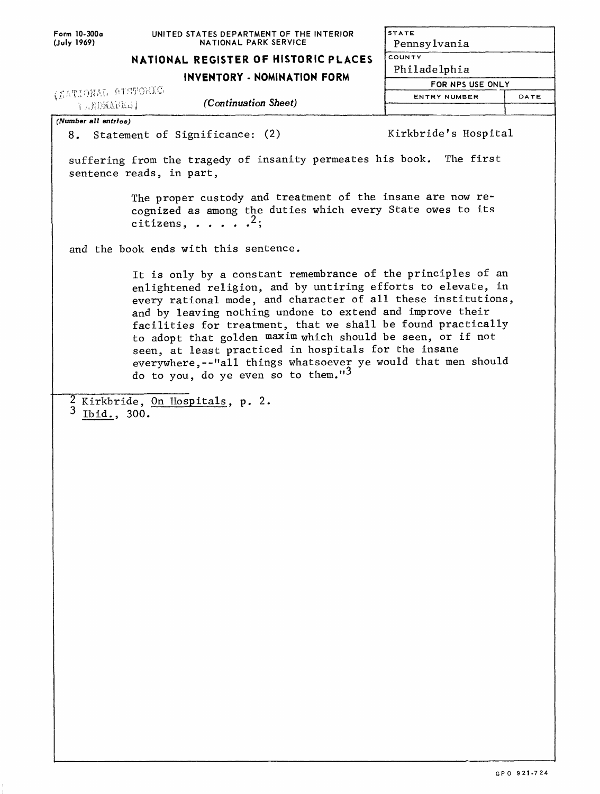| Form 10-300a                                              | UNITED STATES DEPARTMENT OF THE INTERIOR                                                                                                                                                                                                                                                                                                                                                                                                                                                                                                                 | <b>STATE</b>         |      |
|-----------------------------------------------------------|----------------------------------------------------------------------------------------------------------------------------------------------------------------------------------------------------------------------------------------------------------------------------------------------------------------------------------------------------------------------------------------------------------------------------------------------------------------------------------------------------------------------------------------------------------|----------------------|------|
| (July 1969)                                               | NATIONAL PARK SERVICE                                                                                                                                                                                                                                                                                                                                                                                                                                                                                                                                    | Pennsylvania         |      |
|                                                           | NATIONAL REGISTER OF HISTORIC PLACES                                                                                                                                                                                                                                                                                                                                                                                                                                                                                                                     | <b>COUNTY</b>        |      |
|                                                           | INVENTORY - NOMINATION FORM                                                                                                                                                                                                                                                                                                                                                                                                                                                                                                                              | Philadelphia         |      |
| (MATIONAL AISTORIC                                        |                                                                                                                                                                                                                                                                                                                                                                                                                                                                                                                                                          | FOR NPS USE ONLY     |      |
| {aXDMAR&\$}                                               | (Continuation Sheet)                                                                                                                                                                                                                                                                                                                                                                                                                                                                                                                                     | ENTRY NUMBER         | DATE |
|                                                           |                                                                                                                                                                                                                                                                                                                                                                                                                                                                                                                                                          |                      |      |
| (Number all entries)<br>8. Statement of Significance: (2) |                                                                                                                                                                                                                                                                                                                                                                                                                                                                                                                                                          | Kirkbride's Hospital |      |
| sentence reads, in part,                                  | suffering from the tragedy of insanity permeates his book. The first                                                                                                                                                                                                                                                                                                                                                                                                                                                                                     |                      |      |
| citizens, $\ldots$ $\ldots$ <sup>2</sup> ;                | The proper custody and treatment of the insane are now re-<br>cognized as among the duties which every State owes to its                                                                                                                                                                                                                                                                                                                                                                                                                                 |                      |      |
| and the book ends with this sentence.                     |                                                                                                                                                                                                                                                                                                                                                                                                                                                                                                                                                          |                      |      |
|                                                           | It is only by a constant remembrance of the principles of an<br>enlightened religion, and by untiring efforts to elevate, in<br>every rational mode, and character of all these institutions,<br>and by leaving nothing undone to extend and improve their<br>facilities for treatment, that we shall be found practically<br>to adopt that golden maxim which should be seen, or if not<br>seen, at least practiced in hospitals for the insane<br>everywhere, --"all things whatsoever ye would that men should<br>do to you, do ye even so to them."3 |                      |      |
| 2 Kirkbride, On Hospitals, p. 2.<br>3<br>Ibid., 300.      |                                                                                                                                                                                                                                                                                                                                                                                                                                                                                                                                                          |                      |      |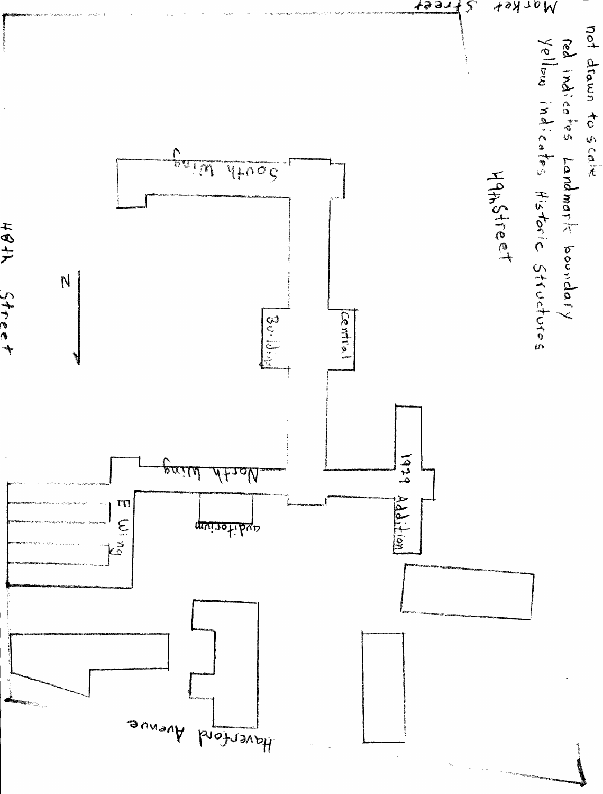